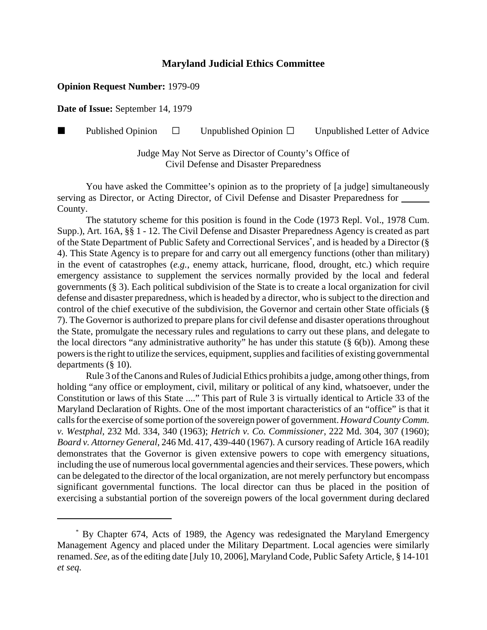## **Maryland Judicial Ethics Committee**

## **Opinion Request Number:** 1979-09

**Date of Issue:** September 14, 1979

**Published Opinion**  $\Box$  Unpublished Opinion  $\Box$  Unpublished Letter of Advice

Judge May Not Serve as Director of County's Office of Civil Defense and Disaster Preparedness

You have asked the Committee's opinion as to the propriety of [a judge] simultaneously serving as Director, or Acting Director, of Civil Defense and Disaster Preparedness for County.

The statutory scheme for this position is found in the Code (1973 Repl. Vol., 1978 Cum. Supp.), Art. 16A, §§ 1 - 12. The Civil Defense and Disaster Preparedness Agency is created as part of the State Department of Public Safety and Correctional Services<sup>\*</sup>, and is headed by a Director (§ 4). This State Agency is to prepare for and carry out all emergency functions (other than military) in the event of catastrophes (*e.g.*, enemy attack, hurricane, flood, drought, etc.) which require emergency assistance to supplement the services normally provided by the local and federal governments (§ 3). Each political subdivision of the State is to create a local organization for civil defense and disaster preparedness, which is headed by a director, who is subject to the direction and control of the chief executive of the subdivision, the Governor and certain other State officials (§ 7). The Governor is authorized to prepare plans for civil defense and disaster operations throughout the State, promulgate the necessary rules and regulations to carry out these plans, and delegate to the local directors "any administrative authority" he has under this statute  $(\S$  6(b)). Among these powers is the right to utilize the services, equipment, supplies and facilities of existing governmental departments (§ 10).

Rule 3 of the Canons and Rules of Judicial Ethics prohibits a judge, among other things, from holding "any office or employment, civil, military or political of any kind, whatsoever, under the Constitution or laws of this State ...." This part of Rule 3 is virtually identical to Article 33 of the Maryland Declaration of Rights. One of the most important characteristics of an "office" is that it calls for the exercise of some portion of the sovereign power of government. *Howard County Comm. v. Westphal*, 232 Md. 334, 340 (1963); *Hetrich v. Co. Commissioner*, 222 Md. 304, 307 (1960); *Board v. Attorney General*, 246 Md. 417, 439-440 (1967). A cursory reading of Article 16A readily demonstrates that the Governor is given extensive powers to cope with emergency situations, including the use of numerous local governmental agencies and their services. These powers, which can be delegated to the director of the local organization, are not merely perfunctory but encompass significant governmental functions. The local director can thus be placed in the position of exercising a substantial portion of the sovereign powers of the local government during declared

 <sup>\*</sup> By Chapter 674, Acts of 1989, the Agency was redesignated the Maryland Emergency Management Agency and placed under the Military Department. Local agencies were similarly renamed. *See*, as of the editing date [July 10, 2006], Maryland Code, Public Safety Article, § 14-101 *et seq.*